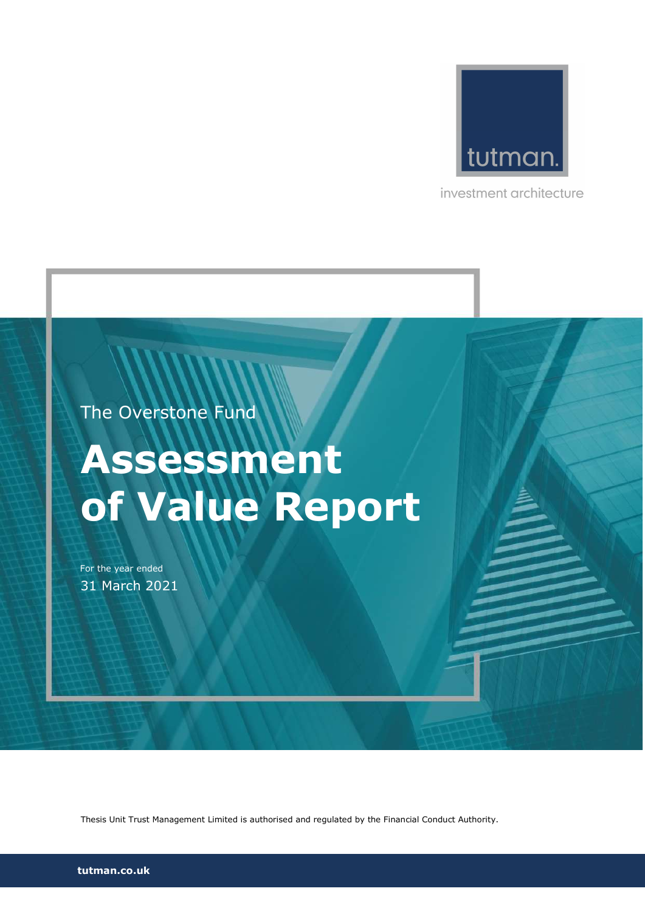

investment architecture

The Overstone Fund

# Assessment of Value Report

For the year ended 31 March 2021

Thesis Unit Trust Management Limited is authorised and regulated by the Financial Conduct Authority.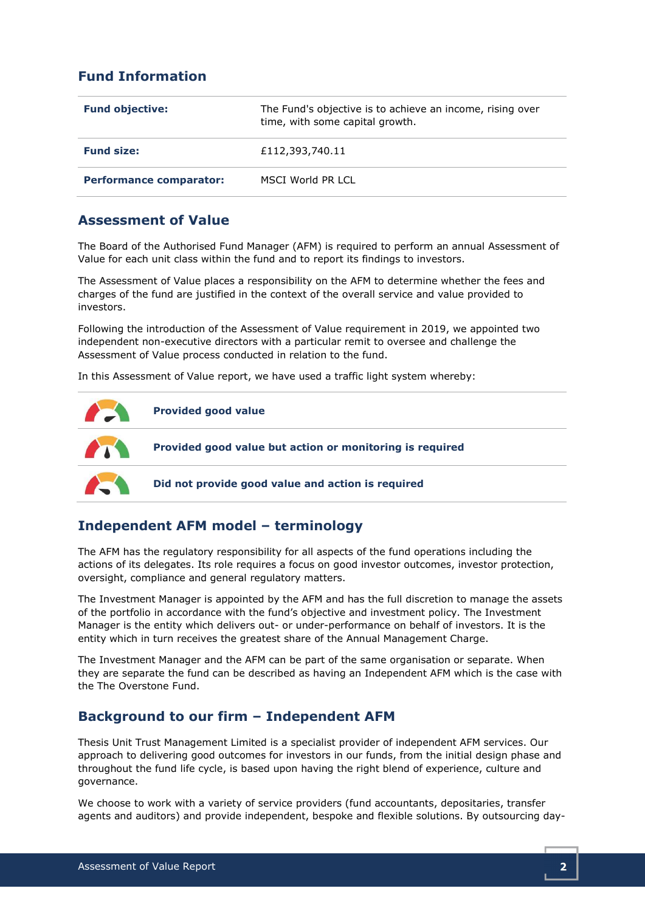# Fund Information

| <b>Fund objective:</b>         | The Fund's objective is to achieve an income, rising over<br>time, with some capital growth. |
|--------------------------------|----------------------------------------------------------------------------------------------|
| <b>Fund size:</b>              | £112,393,740.11                                                                              |
| <b>Performance comparator:</b> | MSCI World PR LCL                                                                            |

# Assessment of Value

The Board of the Authorised Fund Manager (AFM) is required to perform an annual Assessment of Value for each unit class within the fund and to report its findings to investors.

The Assessment of Value places a responsibility on the AFM to determine whether the fees and charges of the fund are justified in the context of the overall service and value provided to investors.

Following the introduction of the Assessment of Value requirement in 2019, we appointed two independent non-executive directors with a particular remit to oversee and challenge the Assessment of Value process conducted in relation to the fund.

In this Assessment of Value report, we have used a traffic light system whereby:



# Independent AFM model – terminology

The AFM has the regulatory responsibility for all aspects of the fund operations including the actions of its delegates. Its role requires a focus on good investor outcomes, investor protection, oversight, compliance and general regulatory matters.

The Investment Manager is appointed by the AFM and has the full discretion to manage the assets of the portfolio in accordance with the fund's objective and investment policy. The Investment Manager is the entity which delivers out- or under-performance on behalf of investors. It is the entity which in turn receives the greatest share of the Annual Management Charge.

The Investment Manager and the AFM can be part of the same organisation or separate. When they are separate the fund can be described as having an Independent AFM which is the case with the The Overstone Fund.

# Background to our firm – Independent AFM

Thesis Unit Trust Management Limited is a specialist provider of independent AFM services. Our approach to delivering good outcomes for investors in our funds, from the initial design phase and throughout the fund life cycle, is based upon having the right blend of experience, culture and governance.

We choose to work with a variety of service providers (fund accountants, depositaries, transfer agents and auditors) and provide independent, bespoke and flexible solutions. By outsourcing day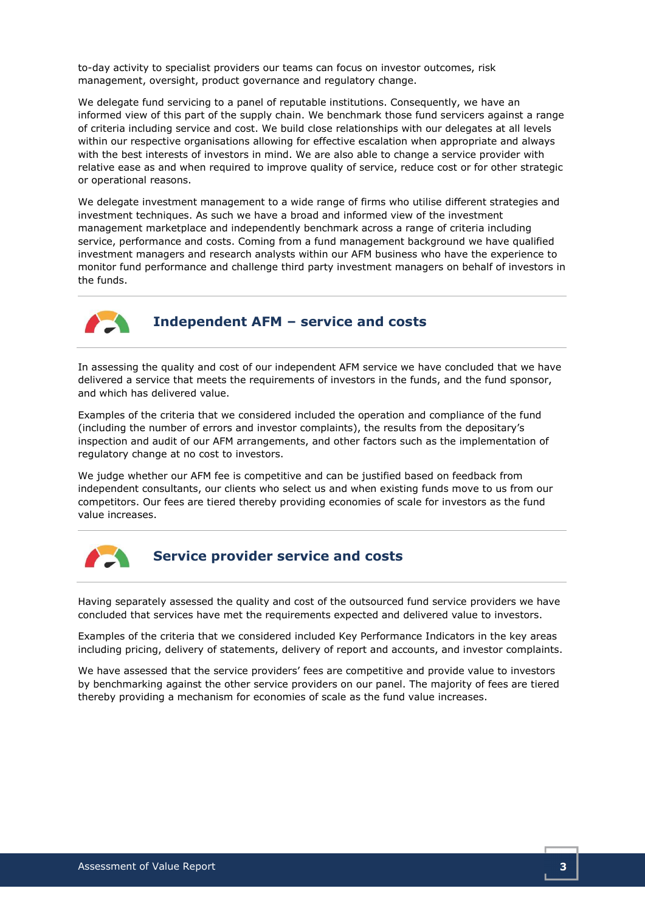to-day activity to specialist providers our teams can focus on investor outcomes, risk management, oversight, product governance and regulatory change.

We delegate fund servicing to a panel of reputable institutions. Consequently, we have an informed view of this part of the supply chain. We benchmark those fund servicers against a range of criteria including service and cost. We build close relationships with our delegates at all levels within our respective organisations allowing for effective escalation when appropriate and always with the best interests of investors in mind. We are also able to change a service provider with relative ease as and when required to improve quality of service, reduce cost or for other strategic or operational reasons.

We delegate investment management to a wide range of firms who utilise different strategies and investment techniques. As such we have a broad and informed view of the investment management marketplace and independently benchmark across a range of criteria including service, performance and costs. Coming from a fund management background we have qualified investment managers and research analysts within our AFM business who have the experience to monitor fund performance and challenge third party investment managers on behalf of investors in the funds.



# Independent AFM – service and costs

In assessing the quality and cost of our independent AFM service we have concluded that we have delivered a service that meets the requirements of investors in the funds, and the fund sponsor, and which has delivered value.

Examples of the criteria that we considered included the operation and compliance of the fund (including the number of errors and investor complaints), the results from the depositary's inspection and audit of our AFM arrangements, and other factors such as the implementation of regulatory change at no cost to investors.

We judge whether our AFM fee is competitive and can be justified based on feedback from independent consultants, our clients who select us and when existing funds move to us from our competitors. Our fees are tiered thereby providing economies of scale for investors as the fund value increases.



# Service provider service and costs

Having separately assessed the quality and cost of the outsourced fund service providers we have concluded that services have met the requirements expected and delivered value to investors.

Examples of the criteria that we considered included Key Performance Indicators in the key areas including pricing, delivery of statements, delivery of report and accounts, and investor complaints.

We have assessed that the service providers' fees are competitive and provide value to investors by benchmarking against the other service providers on our panel. The majority of fees are tiered thereby providing a mechanism for economies of scale as the fund value increases.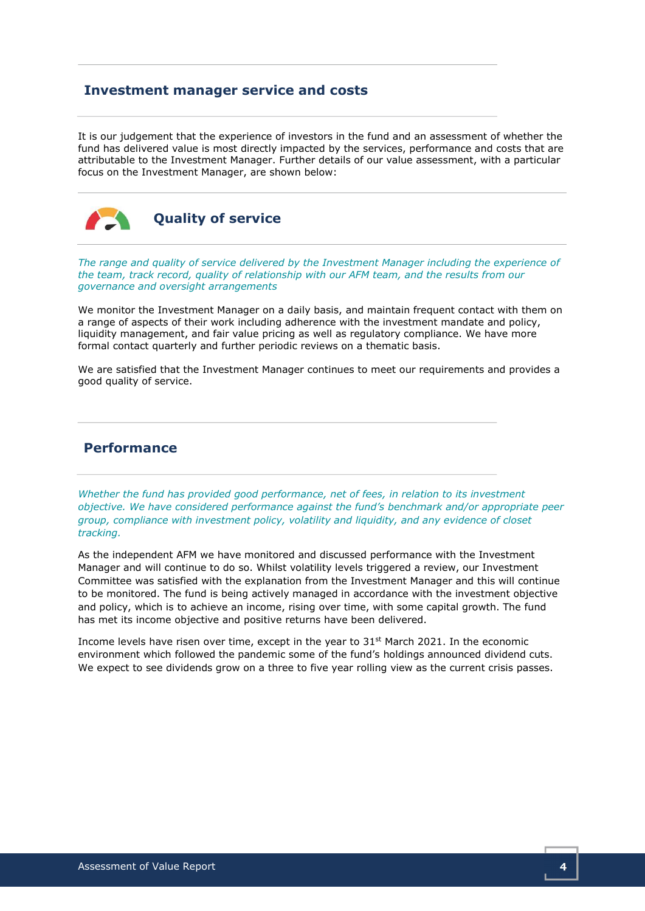## Investment manager service and costs

It is our judgement that the experience of investors in the fund and an assessment of whether the fund has delivered value is most directly impacted by the services, performance and costs that are attributable to the Investment Manager. Further details of our value assessment, with a particular focus on the Investment Manager, are shown below:



Quality of service

The range and quality of service delivered by the Investment Manager including the experience of the team, track record, quality of relationship with our AFM team, and the results from our governance and oversight arrangements

We monitor the Investment Manager on a daily basis, and maintain frequent contact with them on a range of aspects of their work including adherence with the investment mandate and policy, liquidity management, and fair value pricing as well as regulatory compliance. We have more formal contact quarterly and further periodic reviews on a thematic basis.

We are satisfied that the Investment Manager continues to meet our requirements and provides a good quality of service.

# Performance

Whether the fund has provided good performance, net of fees, in relation to its investment objective. We have considered performance against the fund's benchmark and/or appropriate peer group, compliance with investment policy, volatility and liquidity, and any evidence of closet tracking.

As the independent AFM we have monitored and discussed performance with the Investment Manager and will continue to do so. Whilst volatility levels triggered a review, our Investment Committee was satisfied with the explanation from the Investment Manager and this will continue to be monitored. The fund is being actively managed in accordance with the investment objective and policy, which is to achieve an income, rising over time, with some capital growth. The fund has met its income objective and positive returns have been delivered.

Income levels have risen over time, except in the year to  $31<sup>st</sup>$  March 2021. In the economic environment which followed the pandemic some of the fund's holdings announced dividend cuts. We expect to see dividends grow on a three to five year rolling view as the current crisis passes.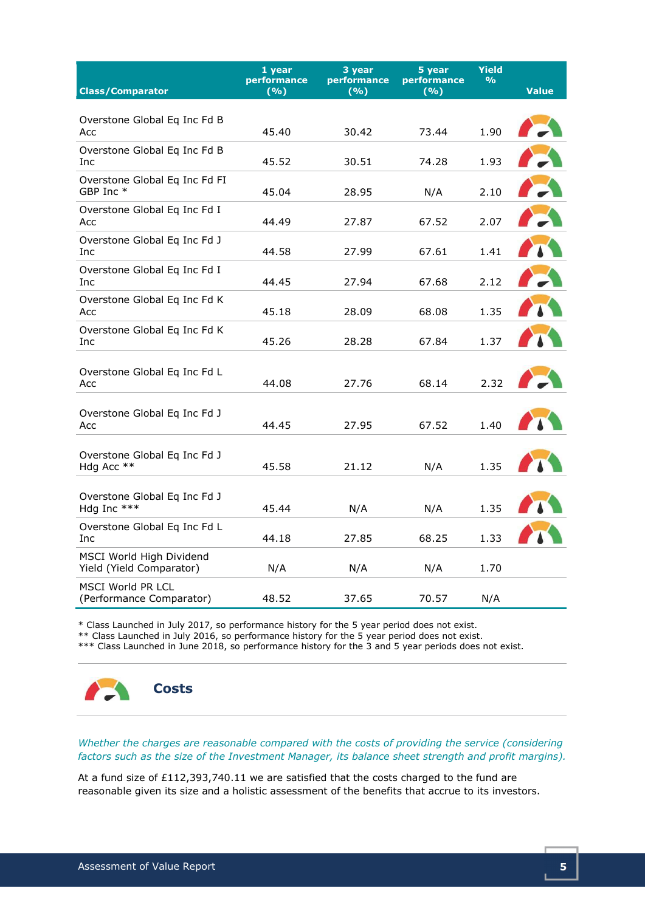| <b>Class/Comparator</b>                              | 1 year<br>performance<br>(%) | 3 year<br>performance<br>(%) | 5 year<br>performance<br>(%) | <b>Yield</b><br>$\frac{9}{6}$ | <b>Value</b> |
|------------------------------------------------------|------------------------------|------------------------------|------------------------------|-------------------------------|--------------|
|                                                      |                              |                              |                              |                               |              |
| Overstone Global Eq Inc Fd B<br>Acc                  | 45.40                        | 30.42                        | 73.44                        | 1.90                          |              |
| Overstone Global Eq Inc Fd B<br>Inc                  | 45.52                        | 30.51                        | 74.28                        | 1.93                          |              |
| Overstone Global Eq Inc Fd FI<br>GBP Inc *           | 45.04                        | 28.95                        | N/A                          | 2.10                          |              |
| Overstone Global Eq Inc Fd I<br>Acc                  | 44.49                        | 27.87                        | 67.52                        | 2.07                          |              |
| Overstone Global Eq Inc Fd J<br>Inc                  | 44.58                        | 27.99                        | 67.61                        | 1.41                          |              |
| Overstone Global Eq Inc Fd I<br>Inc                  | 44.45                        | 27.94                        | 67.68                        | 2.12                          |              |
| Overstone Global Eq Inc Fd K<br>Acc                  | 45.18                        | 28.09                        | 68.08                        | 1.35                          |              |
| Overstone Global Eq Inc Fd K<br>Inc                  | 45.26                        | 28.28                        | 67.84                        | 1.37                          |              |
| Overstone Global Eq Inc Fd L<br>Асс                  | 44.08                        | 27.76                        | 68.14                        | 2.32                          |              |
| Overstone Global Eq Inc Fd J<br>Acc                  | 44.45                        | 27.95                        | 67.52                        | 1.40                          |              |
| Overstone Global Eq Inc Fd J<br>Hdg Acc **           | 45.58                        | 21.12                        | N/A                          | 1.35                          |              |
| Overstone Global Eq Inc Fd J<br>Hdg Inc ***          | 45.44                        | N/A                          | N/A                          | 1.35                          |              |
| Overstone Global Eq Inc Fd L<br>Inc                  | 44.18                        | 27.85                        | 68.25                        | 1.33                          |              |
| MSCI World High Dividend<br>Yield (Yield Comparator) | N/A                          | N/A                          | N/A                          | 1.70                          |              |
| <b>MSCI World PR LCL</b><br>(Performance Comparator) | 48.52                        | 37.65                        | 70.57                        | N/A                           |              |

\* Class Launched in July 2017, so performance history for the 5 year period does not exist.

\*\* Class Launched in July 2016, so performance history for the 5 year period does not exist.

\*\*\* Class Launched in June 2018, so performance history for the 3 and 5 year periods does not exist.



Whether the charges are reasonable compared with the costs of providing the service (considering factors such as the size of the Investment Manager, its balance sheet strength and profit margins).

At a fund size of £112,393,740.11 we are satisfied that the costs charged to the fund are reasonable given its size and a holistic assessment of the benefits that accrue to its investors.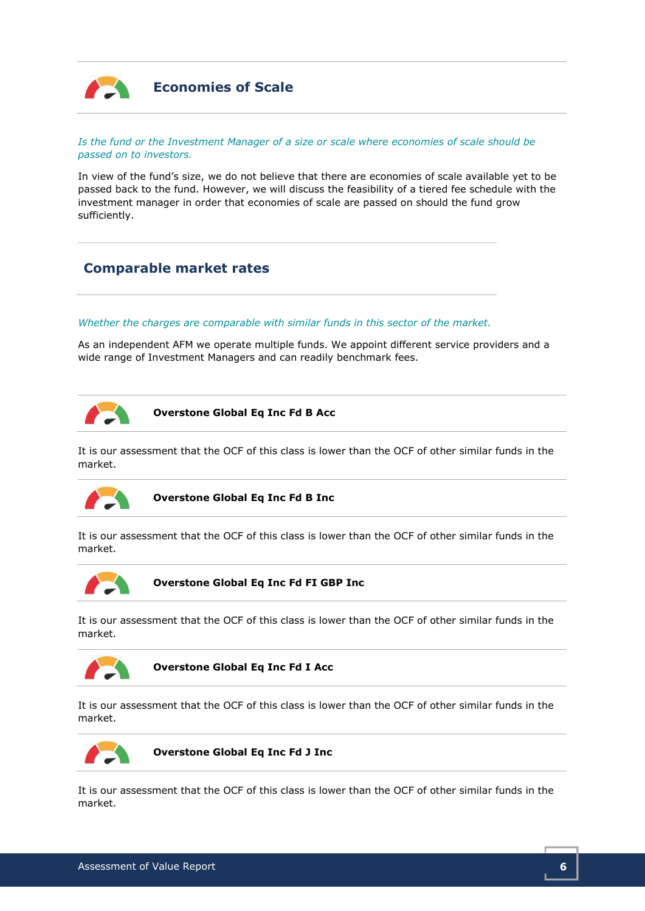

# Economies of Scale

#### Is the fund or the Investment Manager of a size or scale where economies of scale should be passed on to investors.

In view of the fund's size, we do not believe that there are economies of scale available yet to be passed back to the fund. However, we will discuss the feasibility of a tiered fee schedule with the investment manager in order that economies of scale are passed on should the fund grow sufficiently.

# Comparable market rates

#### Whether the charges are comparable with similar funds in this sector of the market.

As an independent AFM we operate multiple funds. We appoint different service providers and a wide range of Investment Managers and can readily benchmark fees.



Overstone Global Eq Inc Fd B Acc

It is our assessment that the OCF of this class is lower than the OCF of other similar funds in the market.



Overstone Global Eq Inc Fd B Inc

It is our assessment that the OCF of this class is lower than the OCF of other similar funds in the market.



Overstone Global Eq Inc Fd FI GBP Inc

It is our assessment that the OCF of this class is lower than the OCF of other similar funds in the market.



Overstone Global Eq Inc Fd I Acc

It is our assessment that the OCF of this class is lower than the OCF of other similar funds in the market.



Overstone Global Eq Inc Fd J Inc

It is our assessment that the OCF of this class is lower than the OCF of other similar funds in the market.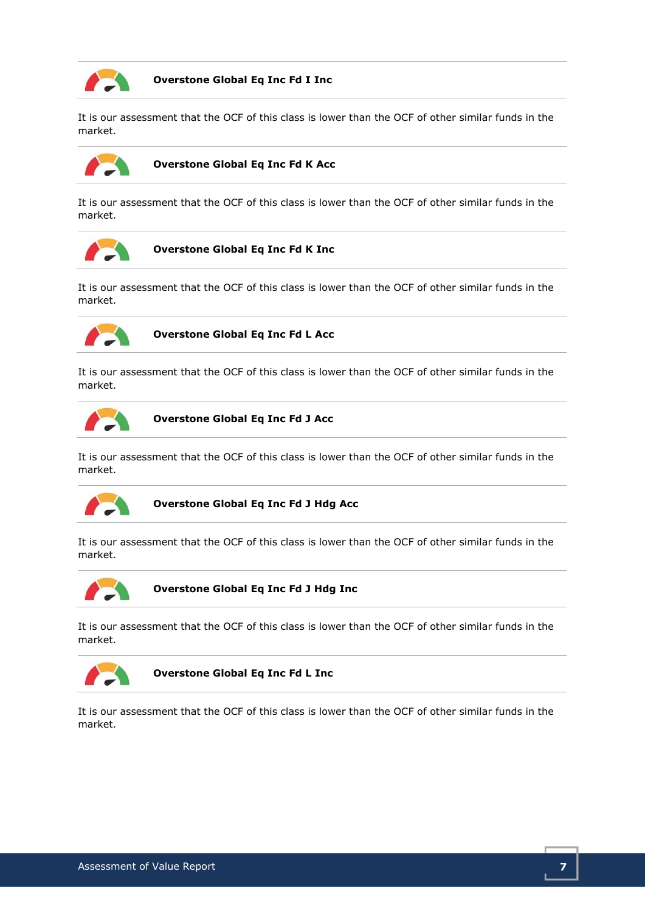

## Overstone Global Eq Inc Fd I Inc

It is our assessment that the OCF of this class is lower than the OCF of other similar funds in the market.



## Overstone Global Eq Inc Fd K Acc

It is our assessment that the OCF of this class is lower than the OCF of other similar funds in the market.



#### Overstone Global Eq Inc Fd K Inc

It is our assessment that the OCF of this class is lower than the OCF of other similar funds in the market.



Overstone Global Eq Inc Fd L Acc

It is our assessment that the OCF of this class is lower than the OCF of other similar funds in the market.



Overstone Global Eq Inc Fd J Acc

It is our assessment that the OCF of this class is lower than the OCF of other similar funds in the market.



Overstone Global Eq Inc Fd J Hdg Acc

It is our assessment that the OCF of this class is lower than the OCF of other similar funds in the market.



Overstone Global Eq Inc Fd J Hdg Inc

It is our assessment that the OCF of this class is lower than the OCF of other similar funds in the market.



Overstone Global Eq Inc Fd L Inc

It is our assessment that the OCF of this class is lower than the OCF of other similar funds in the market.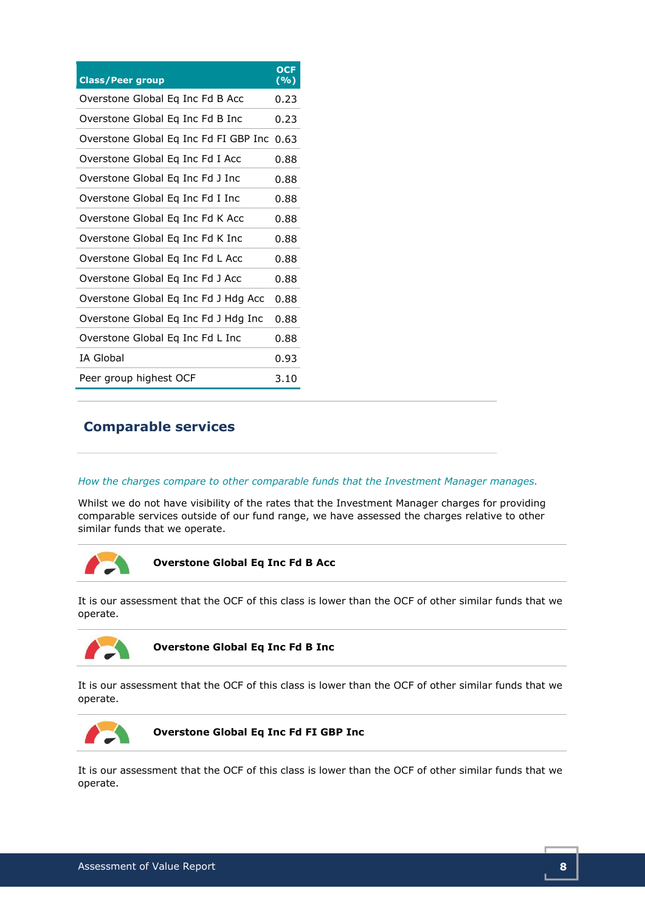| <b>Class/Peer group</b>                    | <b>OCF</b><br>( %) |
|--------------------------------------------|--------------------|
| Overstone Global Eq Inc Fd B Acc           | 0.23               |
| Overstone Global Eq Inc Fd B Inc           | 0.23               |
| Overstone Global Eq Inc Fd FI GBP Inc 0.63 |                    |
| Overstone Global Eq Inc Fd I Acc           | 0.88               |
| Overstone Global Eq Inc Fd J Inc           | 0.88               |
| Overstone Global Eq Inc Fd I Inc           | 0.88               |
| Overstone Global Eq Inc Fd K Acc           | 0.88               |
| Overstone Global Eq Inc Fd K Inc           | 0.88               |
| Overstone Global Eq Inc Fd L Acc           | 0.88               |
| Overstone Global Eg Inc Fd J Acc           | 0.88               |
| Overstone Global Eq Inc Fd J Hdg Acc       | 0.88               |
| Overstone Global Eq Inc Fd J Hdg Inc       | 0.88               |
| Overstone Global Eq Inc Fd L Inc           | 0.88               |
| <b>IA Global</b>                           | 0.93               |
| Peer group highest OCF                     | 3.10               |

# Comparable services

#### How the charges compare to other comparable funds that the Investment Manager manages.

Whilst we do not have visibility of the rates that the Investment Manager charges for providing comparable services outside of our fund range, we have assessed the charges relative to other similar funds that we operate.



Overstone Global Eq Inc Fd B Acc

It is our assessment that the OCF of this class is lower than the OCF of other similar funds that we operate.



Overstone Global Eq Inc Fd B Inc

It is our assessment that the OCF of this class is lower than the OCF of other similar funds that we operate.



Overstone Global Eq Inc Fd FI GBP Inc

It is our assessment that the OCF of this class is lower than the OCF of other similar funds that we operate.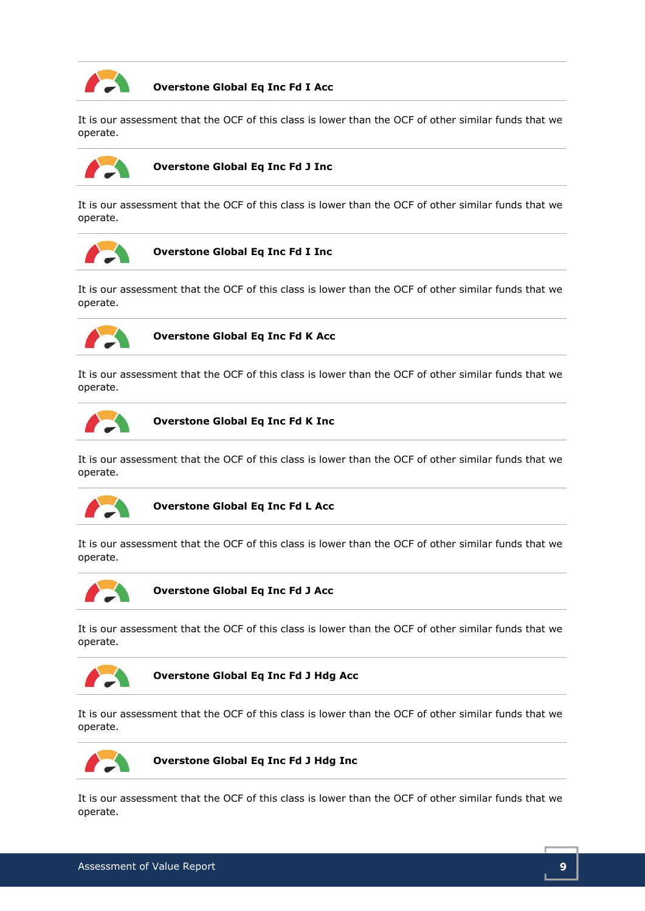

## Overstone Global Eq Inc Fd I Acc

It is our assessment that the OCF of this class is lower than the OCF of other similar funds that we operate.



## Overstone Global Eq Inc Fd J Inc

It is our assessment that the OCF of this class is lower than the OCF of other similar funds that we operate.



Overstone Global Eq Inc Fd I Inc

It is our assessment that the OCF of this class is lower than the OCF of other similar funds that we operate.



Overstone Global Eq Inc Fd K Acc

It is our assessment that the OCF of this class is lower than the OCF of other similar funds that we operate.



Overstone Global Eq Inc Fd K Inc

It is our assessment that the OCF of this class is lower than the OCF of other similar funds that we operate.



Overstone Global Eq Inc Fd L Acc

It is our assessment that the OCF of this class is lower than the OCF of other similar funds that we operate.



Overstone Global Eq Inc Fd J Acc

It is our assessment that the OCF of this class is lower than the OCF of other similar funds that we operate.



Overstone Global Eq Inc Fd J Hdg Acc

It is our assessment that the OCF of this class is lower than the OCF of other similar funds that we operate.



Overstone Global Eq Inc Fd J Hdg Inc

It is our assessment that the OCF of this class is lower than the OCF of other similar funds that we operate.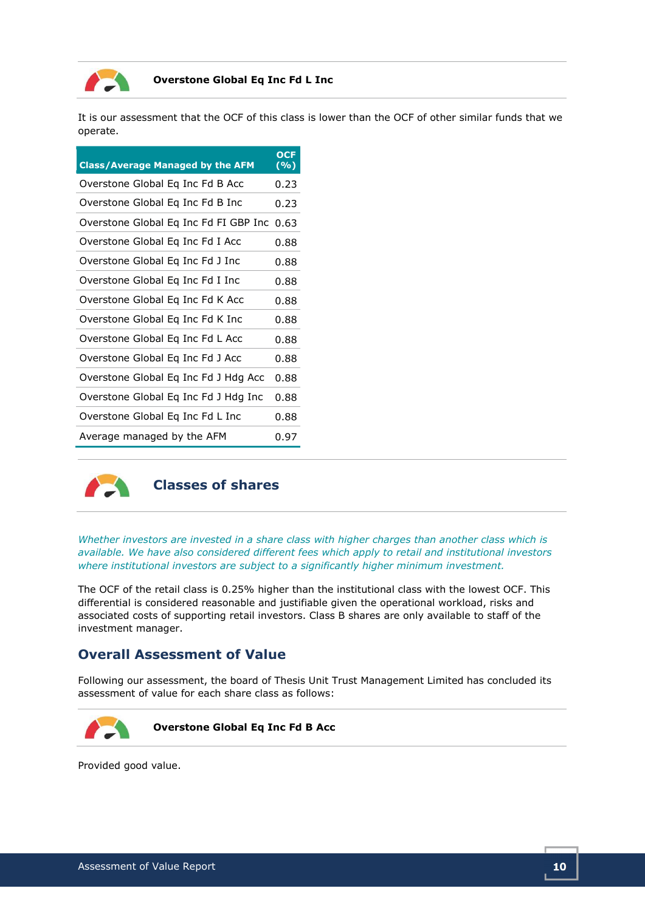

## Overstone Global Eq Inc Fd L Inc

It is our assessment that the OCF of this class is lower than the OCF of other similar funds that we operate.

| <b>Class/Average Managed by the AFM</b> | <b>OCF</b><br>$(\sqrt[6]{\circ})$ |
|-----------------------------------------|-----------------------------------|
| Overstone Global Eq Inc Fd B Acc        | 0.23                              |
| Overstone Global Eq Inc Fd B Inc        | 0.23                              |
| Overstone Global Eq Inc Fd FI GBP Inc   | 0.63                              |
| Overstone Global Eg Inc Fd I Acc        | 0.88                              |
| Overstone Global Eq Inc Fd J Inc        | 0.88                              |
| Overstone Global Eq Inc Fd I Inc        | 0.88                              |
| Overstone Global Eq Inc Fd K Acc        | 0.88                              |
| Overstone Global Eq Inc Fd K Inc        | 0.88                              |
| Overstone Global Eq Inc Fd L Acc        | 0.88                              |
| Overstone Global Eq Inc Fd J Acc        | 0.88                              |
| Overstone Global Eq Inc Fd J Hdg Acc    | 0.88                              |
| Overstone Global Eq Inc Fd J Hdg Inc    | 0.88                              |
| Overstone Global Eq Inc Fd L Inc        | 0.88                              |
| Average managed by the AFM              | 0.97                              |



## Classes of shares

Whether investors are invested in a share class with higher charges than another class which is available. We have also considered different fees which apply to retail and institutional investors where institutional investors are subject to a significantly higher minimum investment.

The OCF of the retail class is 0.25% higher than the institutional class with the lowest OCF. This differential is considered reasonable and justifiable given the operational workload, risks and associated costs of supporting retail investors. Class B shares are only available to staff of the investment manager.

# Overall Assessment of Value

Following our assessment, the board of Thesis Unit Trust Management Limited has concluded its assessment of value for each share class as follows:



Provided good value.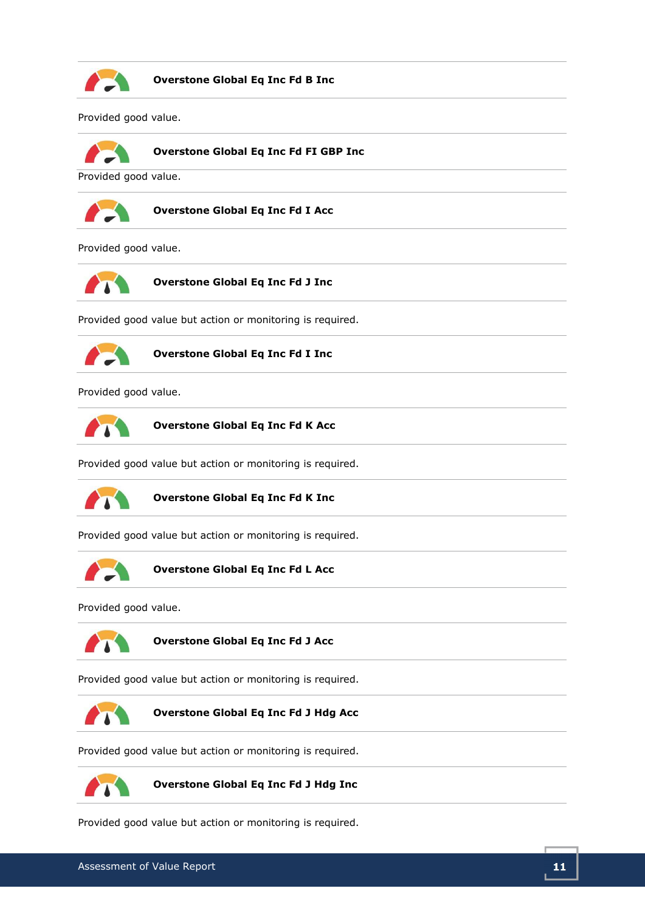

Overstone Global Eq Inc Fd B Inc

Provided good value.



Overstone Global Eq Inc Fd FI GBP Inc

Provided good value.



Overstone Global Eq Inc Fd I Acc

Provided good value.



Overstone Global Eq Inc Fd J Inc

Provided good value but action or monitoring is required.



Overstone Global Eq Inc Fd I Inc

Provided good value.



Overstone Global Eq Inc Fd K Acc

Provided good value but action or monitoring is required.



Overstone Global Eq Inc Fd K Inc

Provided good value but action or monitoring is required.



Overstone Global Eq Inc Fd L Acc

Provided good value.



Overstone Global Eq Inc Fd J Acc

Provided good value but action or monitoring is required.



Overstone Global Eq Inc Fd J Hdg Acc

Provided good value but action or monitoring is required.



Overstone Global Eq Inc Fd J Hdg Inc

Provided good value but action or monitoring is required.